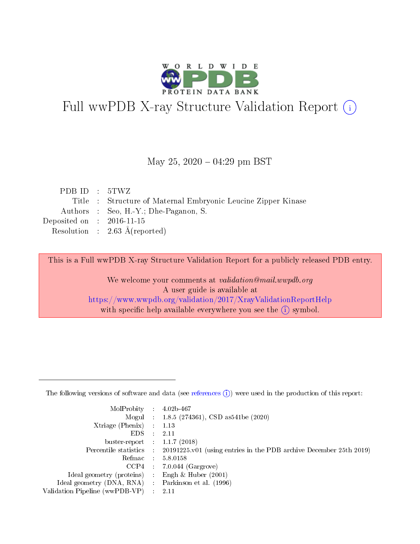

# Full wwPDB X-ray Structure Validation Report (i)

#### May 25,  $2020 - 04:29$  pm BST

| PDBID : 5TWZ                |                                                               |
|-----------------------------|---------------------------------------------------------------|
|                             | Title : Structure of Maternal Embryonic Leucine Zipper Kinase |
|                             | Authors : Seo, H.-Y.; Dhe-Paganon, S.                         |
| Deposited on : $2016-11-15$ |                                                               |
|                             | Resolution : $2.63 \text{ Å}$ (reported)                      |

This is a Full wwPDB X-ray Structure Validation Report for a publicly released PDB entry.

We welcome your comments at validation@mail.wwpdb.org A user guide is available at <https://www.wwpdb.org/validation/2017/XrayValidationReportHelp> with specific help available everywhere you see the  $(i)$  symbol.

The following versions of software and data (see [references](https://www.wwpdb.org/validation/2017/XrayValidationReportHelp#references)  $(1)$ ) were used in the production of this report:

| $MolProbability$ 4.02b-467                          |               |                                                                                            |
|-----------------------------------------------------|---------------|--------------------------------------------------------------------------------------------|
|                                                     |               | Mogul : 1.8.5 (274361), CSD as 541be (2020)                                                |
| $Xtriangle (Phenix)$ : 1.13                         |               |                                                                                            |
| EDS.                                                | $\mathcal{L}$ | 2.11                                                                                       |
| buster-report : $1.1.7(2018)$                       |               |                                                                                            |
|                                                     |               | Percentile statistics : 20191225.v01 (using entries in the PDB archive December 25th 2019) |
| Refmac $5.8.0158$                                   |               |                                                                                            |
|                                                     |               | $CCP4$ : 7.0.044 (Gargrove)                                                                |
| Ideal geometry (proteins) :                         |               | Engh $\&$ Huber (2001)                                                                     |
| Ideal geometry (DNA, RNA) : Parkinson et al. (1996) |               |                                                                                            |
| Validation Pipeline (wwPDB-VP) : 2.11               |               |                                                                                            |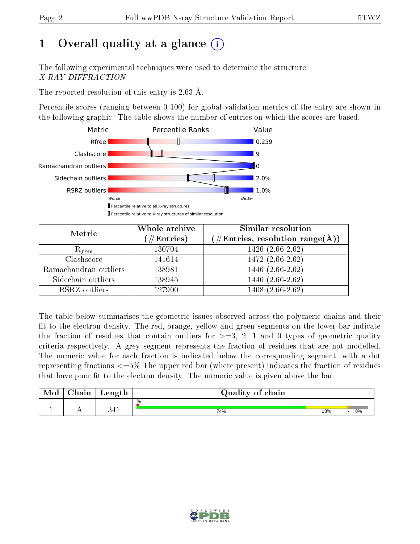# 1 [O](https://www.wwpdb.org/validation/2017/XrayValidationReportHelp#overall_quality)verall quality at a glance  $(i)$

The following experimental techniques were used to determine the structure: X-RAY DIFFRACTION

The reported resolution of this entry is 2.63 Å.

Percentile scores (ranging between 0-100) for global validation metrics of the entry are shown in the following graphic. The table shows the number of entries on which the scores are based.



| Metric                | Whole archive<br>$(\#\text{Entries})$ | <b>Similar resolution</b><br>$(\#\text{Entries},\,\text{resolution}\,\,\text{range}(\textup{\AA}))$ |  |  |
|-----------------------|---------------------------------------|-----------------------------------------------------------------------------------------------------|--|--|
| $R_{free}$            | 130704                                | 1426 (2.66-2.62)                                                                                    |  |  |
| Clashscore            | 141614                                | 1472 (2.66-2.62)                                                                                    |  |  |
| Ramachandran outliers | 138981                                | $1446(2.66-2.62)$                                                                                   |  |  |
| Sidechain outliers    | 138945                                | 1446 (2.66-2.62)                                                                                    |  |  |
| RSRZ outliers         | 127900                                | 1408 (2.66-2.62)                                                                                    |  |  |

The table below summarises the geometric issues observed across the polymeric chains and their fit to the electron density. The red, orange, yellow and green segments on the lower bar indicate the fraction of residues that contain outliers for  $>=3, 2, 1$  and 0 types of geometric quality criteria respectively. A grey segment represents the fraction of residues that are not modelled. The numeric value for each fraction is indicated below the corresponding segment, with a dot representing fractions  $\epsilon=5\%$  The upper red bar (where present) indicates the fraction of residues that have poor fit to the electron density. The numeric value is given above the bar.

| Mol | $\cap$ hain | Length              | Quality of chain |     |    |  |  |
|-----|-------------|---------------------|------------------|-----|----|--|--|
|     |             |                     | %                |     |    |  |  |
|     |             | າ <i>1</i> 1<br>ປ±⊥ | 74%              | 18% | 8% |  |  |

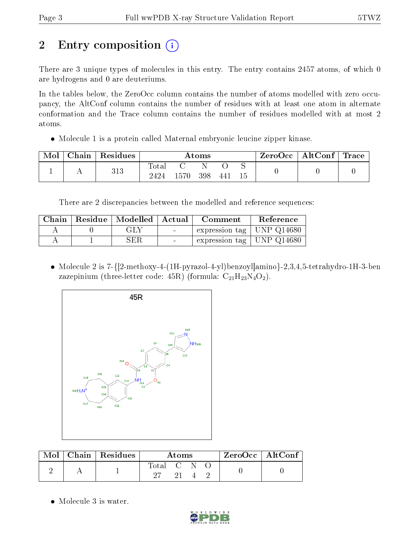# 2 Entry composition (i)

There are 3 unique types of molecules in this entry. The entry contains 2457 atoms, of which 0 are hydrogens and 0 are deuteriums.

In the tables below, the ZeroOcc column contains the number of atoms modelled with zero occupancy, the AltConf column contains the number of residues with at least one atom in alternate conformation and the Trace column contains the number of residues modelled with at most 2 atoms.

• Molecule 1 is a protein called Maternal embryonic leucine zipper kinase.

| Mol | $\perp$ Chain $\perp$ | Residues | Atoms                    |       |     |     |    | $ZeroOcc \   \ AltConf \  $ | $\mid$ Trace $\mid$ |
|-----|-----------------------|----------|--------------------------|-------|-----|-----|----|-----------------------------|---------------------|
|     |                       | 313      | $\mathrm{Total}$<br>2424 | 1570. | 398 | 441 | 15 |                             |                     |

There are 2 discrepancies between the modelled and reference sequences:

|  | Chain   Residue   Modelled   Actual |                                   | Comment                       | Reference |
|--|-------------------------------------|-----------------------------------|-------------------------------|-----------|
|  | GLY                                 | <b>Contract Contract Contract</b> | expression tag   UNP $Q14680$ |           |
|  | SER                                 | $\sim$                            | expression tag   UNP $Q14680$ |           |

 Molecule 2 is 7-{[2-methoxy-4-(1H-pyrazol-4-yl)benzoyl]amino}-2,3,4,5-tetrahydro-1H-3-ben zazepinium (three-letter code: 45R) (formula:  $C_{21}H_{23}N_4O_2$ ).



| Mol | $\vert$ Chain $\vert$ Residues $\vert$ | Atoms     |  |  |  | $ZeroOcc \   \ AltConf \  $ |
|-----|----------------------------------------|-----------|--|--|--|-----------------------------|
|     |                                        | Total C N |  |  |  |                             |

• Molecule 3 is water.

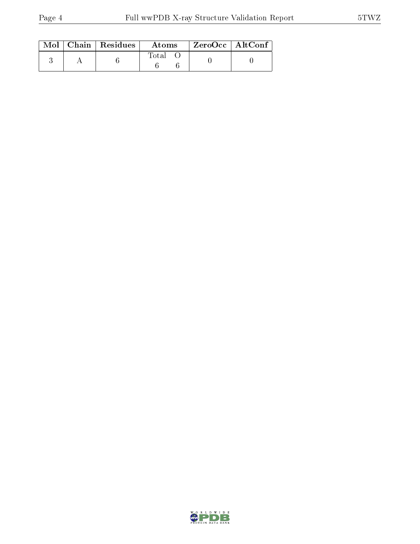|  | $\text{Mol}$   Chain   Residues | Atoms       | $^\top$ ZeroOcc   AltConf |  |
|--|---------------------------------|-------------|---------------------------|--|
|  |                                 | $\rm Total$ |                           |  |

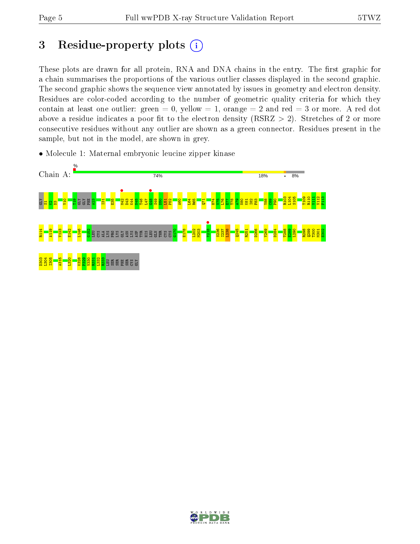$\frac{111}{2}$ V112 F113

T300 M301  $\frac{2}{3}$ 

## 3 Residue-property plots  $(i)$

These plots are drawn for all protein, RNA and DNA chains in the entry. The first graphic for a chain summarises the proportions of the various outlier classes displayed in the second graphic. The second graphic shows the sequence view annotated by issues in geometry and electron density. Residues are color-coded according to the number of geometric quality criteria for which they contain at least one outlier: green  $= 0$ , yellow  $= 1$ , orange  $= 2$  and red  $= 3$  or more. A red dot above a residue indicates a poor fit to the electron density (RSRZ  $> 2$ ). Stretches of 2 or more consecutive residues without any outlier are shown as a green connector. Residues present in the sample, but not in the model, are shown in grey.



• Molecule 1: Maternal embryonic leucine zipper kinase

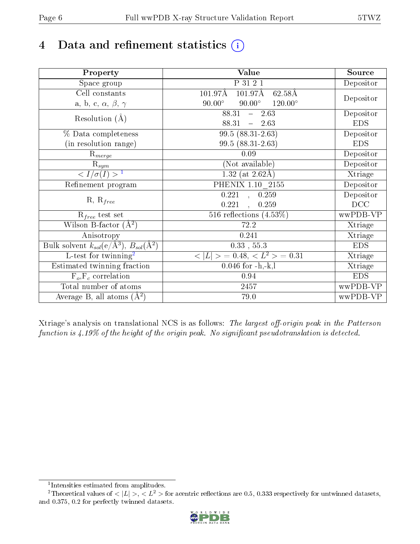# 4 Data and refinement statistics  $(i)$

| Property                                                             | Value                                                    | Source     |
|----------------------------------------------------------------------|----------------------------------------------------------|------------|
| $\overline{\text{Space}}$ group                                      | P 31 2 1                                                 | Depositor  |
| Cell constants                                                       | $101.97\text{\AA}$<br>$101.97\text{\AA}$<br>62.58Å       |            |
| a, b, c, $\alpha$ , $\beta$ , $\gamma$                               | $90.00^\circ$<br>$90.00^\circ$<br>$120.00^{\circ}$       | Depositor  |
| Resolution $(A)$                                                     | $88.31 - 2.63$                                           | Depositor  |
|                                                                      | 88.31<br>$-2.63$                                         | <b>EDS</b> |
| % Data completeness                                                  | $99.5(88.31-2.63)$                                       | Depositor  |
| (in resolution range)                                                | 99.5 (88.31-2.63)                                        | <b>EDS</b> |
| $R_{merge}$                                                          | 0.09                                                     | Depositor  |
| $\mathrm{R}_{sym}$                                                   | (Not available)                                          | Depositor  |
| $\langle I/\sigma(I) \rangle$ <sup>1</sup>                           | 1.32 (at $2.62\text{\AA}$ )                              | Xtriage    |
| Refinement program                                                   | PHENIX $1.10 - 2155$                                     | Depositor  |
|                                                                      | $0.221$ , $0.259$                                        | Depositor  |
| $R, R_{free}$                                                        | 0.221<br>0.259<br>$\ddot{\phantom{a}}$                   | DCC        |
| $R_{free}$ test set                                                  | 516 reflections $(4.53\%)$                               | wwPDB-VP   |
| Wilson B-factor $(A^2)$                                              | 72.2                                                     | Xtriage    |
| Anisotropy                                                           | 0.241                                                    | Xtriage    |
| Bulk solvent $k_{sol}(e/\mathring{A}^3)$ , $B_{sol}(\mathring{A}^2)$ | $0.33\,$ , $55.3\,$                                      | <b>EDS</b> |
| L-test for twinning <sup>2</sup>                                     | $\langle  L  \rangle = 0.48, \langle L^2 \rangle = 0.31$ | Xtriage    |
| Estimated twinning fraction                                          | $0.046$ for $-h,-k,l$                                    | Xtriage    |
| $F_o, F_c$ correlation                                               | 0.94                                                     | <b>EDS</b> |
| Total number of atoms                                                | 2457                                                     | wwPDB-VP   |
| Average B, all atoms $(A^2)$                                         | 79.0                                                     | wwPDB-VP   |

Xtriage's analysis on translational NCS is as follows: The largest off-origin peak in the Patterson function is  $4.19\%$  of the height of the origin peak. No significant pseudotranslation is detected.

<sup>&</sup>lt;sup>2</sup>Theoretical values of  $\langle |L| \rangle$ ,  $\langle L^2 \rangle$  for acentric reflections are 0.5, 0.333 respectively for untwinned datasets, and 0.375, 0.2 for perfectly twinned datasets.



<span id="page-5-1"></span><span id="page-5-0"></span><sup>1</sup> Intensities estimated from amplitudes.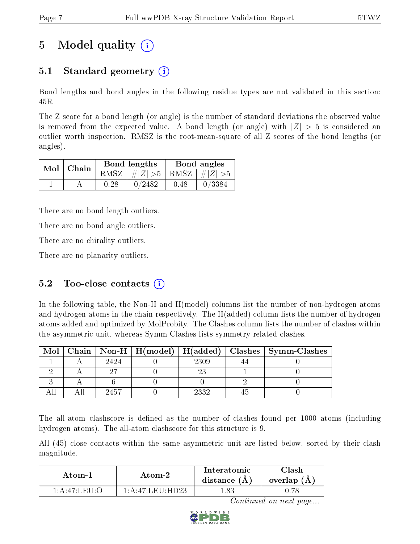## 5 Model quality  $(i)$

## 5.1 Standard geometry (i)

Bond lengths and bond angles in the following residue types are not validated in this section: 45R

The Z score for a bond length (or angle) is the number of standard deviations the observed value is removed from the expected value. A bond length (or angle) with  $|Z| > 5$  is considered an outlier worth inspection. RMSZ is the root-mean-square of all Z scores of the bond lengths (or angles).

| $Mol$   Chain |      | Bond lengths                    | Bond angles |        |  |
|---------------|------|---------------------------------|-------------|--------|--|
|               |      | RMSZ $ #Z  > 5$ RMSZ $ #Z  > 5$ |             |        |  |
|               | 0.28 | 0/2482                          | 0.48        | 0/3384 |  |

There are no bond length outliers.

There are no bond angle outliers.

There are no chirality outliers.

There are no planarity outliers.

### 5.2 Too-close contacts  $(i)$

In the following table, the Non-H and H(model) columns list the number of non-hydrogen atoms and hydrogen atoms in the chain respectively. The H(added) column lists the number of hydrogen atoms added and optimized by MolProbity. The Clashes column lists the number of clashes within the asymmetric unit, whereas Symm-Clashes lists symmetry related clashes.

| Mol |      |      | Chain   Non-H   H(model)   H(added)   Clashes   Symm-Clashes |
|-----|------|------|--------------------------------------------------------------|
|     | 2424 | 2309 |                                                              |
|     |      |      |                                                              |
|     |      |      |                                                              |
|     |      | 2332 |                                                              |

The all-atom clashscore is defined as the number of clashes found per 1000 atoms (including hydrogen atoms). The all-atom clashscore for this structure is 9.

All (45) close contacts within the same asymmetric unit are listed below, sorted by their clash magnitude.

| Atom-1                                                     | Atom-2                                           | Interatomic<br>distance $(A)$ | Clash<br>overlap $(A)$ |
|------------------------------------------------------------|--------------------------------------------------|-------------------------------|------------------------|
| $1 \cdot A \cdot 47 \cdot I \cdot E \cdot I \cdot \cdot C$ | $1 \cdot A \cdot 47$ if $\Gamma \Gamma$ if $D$ 2 |                               |                        |

Continued on next page...

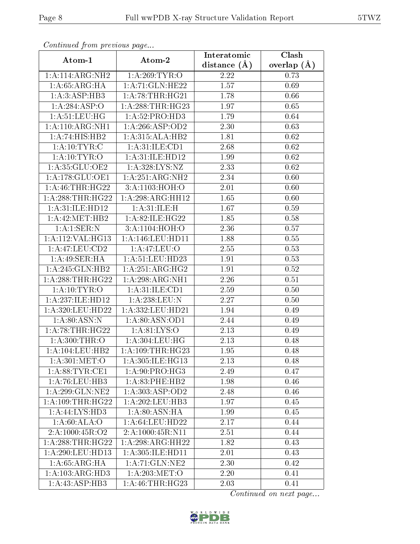| Continuea from previous page         |                                | Interatomic       | Clash         |
|--------------------------------------|--------------------------------|-------------------|---------------|
| Atom-1                               | Atom-2                         | distance $(\AA)$  | overlap $(A)$ |
| 1:A:114:ARG:NH2                      | 1: A:269:TYR:O                 | 2.22              | 0.73          |
| 1: A:65: ARG: HA                     | 1: A:71: GLN: HE22             | $\overline{1.57}$ | 0.69          |
| 1: A:3: ASP:HB3                      | 1:A:78:THR:HG21                | 1.78              | 0.66          |
| 1:A:284:ASP:O                        | 1: A:288:THR:HG23              | 1.97              | 0.65          |
| 1: A:51:LEU:HG                       | 1:A:52:PRO:HD3                 | 1.79              | 0.64          |
| 1:A:110:ARG:NH1                      | 1:A:266:ASP:OD2                | 2.30              | 0.63          |
| 1:A:74:HIS:HB2                       | 1:A:315:ALA:HB2                | 1.81              | 0.62          |
| 1:A:10:TYR:C                         | 1: A:31: ILE: CD1              | 2.68              | 0.62          |
| 1: A:10: TYR:O                       | 1: A:31: ILE: HD12             | 1.99              | 0.62          |
| 1:A:35:GLU:OE2                       | 1: A:328: LYS: NZ              | 2.33              | 0.62          |
| 1:A:178:GLU:OE1                      | 1:A:251:ARG:NH2                | 2.34              | 0.60          |
| 1: A:46:THR:HG22                     | 3: A: 1103:HOH: O              | 2.01              | 0.60          |
| 1:A:288:THR:HG22                     | 1:A:298:ARG:HH12               | 1.65              | 0.60          |
| 1: A:31: ILE: HD12                   | 1: A:31: ILE:H                 | 1.67              | 0.59          |
| 1: A:42:MET:HB2                      | 1:A:82:ILE:HG22                | 1.85              | 0.58          |
| 1:A:1:SER:N                          | 3:A:1104:HOH:O                 | 2.36              | 0.57          |
| 1:A:112:VAL:HG13                     | 1: A:146:LEU: HD11             | 1.88              | 0.55          |
| 1:A:47:LEU:CD2                       | 1: A:47: LEU:O                 | 2.55              | 0.53          |
| 1: A:49: SER:HA                      | 1:A:51:LEU:HD23                | 1.91              | 0.53          |
| 1:A:245:GLN:HB2                      | 1: A:251: ARG:HG2              | 1.91              | 0.52          |
| 1: A:288:THR:HG22                    | 1:A:298:ARG:NH1                | 2.26              | 0.51          |
| 1: A:10: TYR:O                       | 1: A:31: ILE: CD1              | 2.59              | 0.50          |
| 1:A:237:ILE:HD12                     | 1:A:238:LEU:N                  | 2.27              | 0.50          |
| 1:A:320:LEU:HD22                     | 1:A:332:LEU:HD21               | 1.94              | 0.49          |
| 1: A:80: ASN: N                      | 1: A:80: ASN:OD1               | 2.44              | 0.49          |
| 1: A:78:THR:HG22                     | 1: A:81: LYS:O                 | 2.13              | 0.49          |
| 1:A:300:THR:O                        | 1: A: 304: LEU: HG             | 2.13              | 0.48          |
| 1:A:104:LEU:HB2                      | $1:A:109:THR:HG$ <sup>23</sup> | 1.95              | 0.48          |
| $1: A:301:\overline{\mathrm{MET:O}}$ | 1: A:305: ILE: HG13            | 2.13              | 0.48          |
| 1: A:88: TYR: CE1                    | 1: A:90: PRO:HG3               | 2.49              | 0.47          |
| 1:A:76:LEU:HB3                       | 1: A:83:PHE:HB2                | 1.98              | 0.46          |
| 1: A:299: GLN:NE2                    | 1: A: 303: ASP: OD2            | 2.48              | 0.46          |
| 1: A:109:THR:HG22                    | 1:A:202:LEU:HB3                | 1.97              | 0.45          |
| 1:A:44:LYS:HD3                       | 1:A:80:ASN:HA                  | 1.99              | 0.45          |
| 1: A:60: ALA:O                       | 1: A:64:LEU:HD22               | 2.17              | 0.44          |
| 2:A:1000:45R:O2                      | 2:A:1000:45R:N11               | 2.51              | 0.44          |
| 1: A:288:THR:HG22                    | 1: A:298:ARG:HH22              | 1.82              | 0.43          |
| 1:A:290:LEU:HD13                     | 1: A:305: ILE: HD11            | 2.01              | 0.43          |
| 1: A:65: ARG: HA                     | 1: A:71: GLN:NE2               | 2.30              | 0.42          |
| 1: A: 103: ARG: HD3                  | 1: A:203:MET:O                 | 2.20              | 0.41          |
| $1:A:43:A\overline{SP:HB3}$          | 1: A:46:THR:HG23               | 2.03              | 0.41          |

Continued from previous page.

Continued on next page...

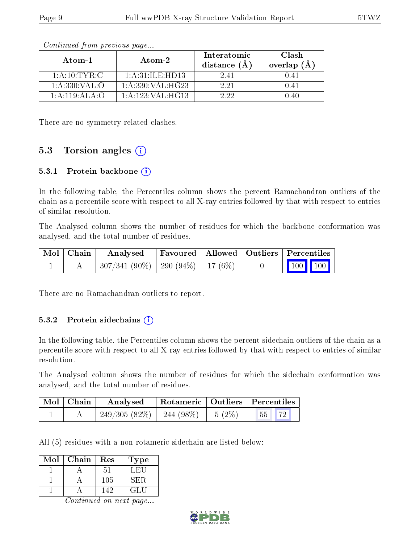| Atom-1                                    | Atom-2               | Interatomic<br>distance $(\AA)$ | Clash<br>overlap $(A)$ |
|-------------------------------------------|----------------------|---------------------------------|------------------------|
| 1: A:10: TYR: C                           | 1: A:31: ILE:HD13    | 241                             |                        |
| 1: A: 330: VAL: O                         | 1: A: 330: VAL: HG23 | 2.21                            |                        |
| $1 \cdot A \cdot 119 \cdot A L A \cdot O$ | 1: A:123: VAL:HG13   | 2.22                            | ) 40                   |

Continued from previous page...

There are no symmetry-related clashes.

### 5.3 Torsion angles  $(i)$

#### 5.3.1 Protein backbone (i)

In the following table, the Percentiles column shows the percent Ramachandran outliers of the chain as a percentile score with respect to all X-ray entries followed by that with respect to entries of similar resolution.

The Analysed column shows the number of residues for which the backbone conformation was analysed, and the total number of residues.

| Mol   Chain | Analysed   Favoured   Allowed   Outliers   Percentiles       |  |  |                                                              |
|-------------|--------------------------------------------------------------|--|--|--------------------------------------------------------------|
|             | $\mid 307/341 \; (90\%) \mid 290 \; (94\%) \mid 17 \; (6\%)$ |  |  | $\begin{array}{ c c c c c }\n\hline\n100 & 100\n\end{array}$ |

There are no Ramachandran outliers to report.

#### 5.3.2 Protein sidechains  $(i)$

In the following table, the Percentiles column shows the percent sidechain outliers of the chain as a percentile score with respect to all X-ray entries followed by that with respect to entries of similar resolution.

The Analysed column shows the number of residues for which the sidechain conformation was analysed, and the total number of residues.

| Mol   Chain | Analysed                               |  | Rotameric   Outliers   Percentiles |  |
|-------------|----------------------------------------|--|------------------------------------|--|
|             | $249/305(82\%)$   244 (98\%)   5 (2\%) |  | $\vert 55 \vert \vert 72 \vert$    |  |

All (5) residues with a non-rotameric sidechain are listed below:

| Mol | Chain | Res | Type |
|-----|-------|-----|------|
|     |       | 51  | LET  |
|     |       | 105 | SER. |
|     |       | 142 | GL H |

Continued on next page...

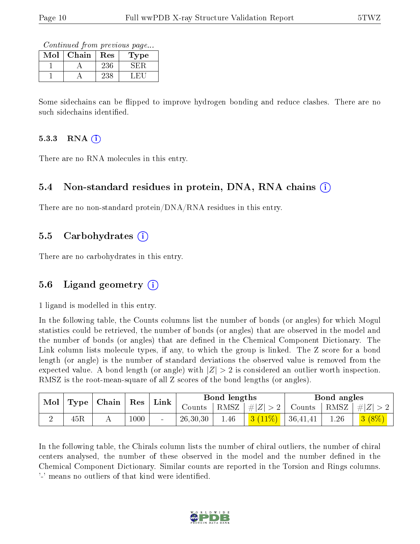Continued from previous page...

| Mol | Chain | $\operatorname{Res}% \left( \mathcal{N}\right) \equiv\operatorname{Res}(\mathcal{N}_{0},\mathcal{N}_{0})$ | <b>Type</b> |
|-----|-------|-----------------------------------------------------------------------------------------------------------|-------------|
|     |       | 236                                                                                                       | ÷н          |
|     |       | 238                                                                                                       |             |

Some sidechains can be flipped to improve hydrogen bonding and reduce clashes. There are no such sidechains identified.

#### $5.3.3$  RNA  $(i)$

There are no RNA molecules in this entry.

#### 5.4 Non-standard residues in protein, DNA, RNA chains (i)

There are no non-standard protein/DNA/RNA residues in this entry.

#### 5.5 Carbohydrates (i)

There are no carbohydrates in this entry.

### 5.6 Ligand geometry (i)

1 ligand is modelled in this entry.

In the following table, the Counts columns list the number of bonds (or angles) for which Mogul statistics could be retrieved, the number of bonds (or angles) that are observed in the model and the number of bonds (or angles) that are dened in the Chemical Component Dictionary. The Link column lists molecule types, if any, to which the group is linked. The Z score for a bond length (or angle) is the number of standard deviations the observed value is removed from the expected value. A bond length (or angle) with  $|Z| > 2$  is considered an outlier worth inspection. RMSZ is the root-mean-square of all Z scores of the bond lengths (or angles).

| Mol |     | $\mid$ Type $\mid$ Chain $\mid$ | $\operatorname{Res}% \left( \mathcal{N}\right) \equiv\operatorname*{Res}(\mathcal{N})^{\ast}$ | Link   |          | Bond lengths |                    | Bond angles |                                                        |
|-----|-----|---------------------------------|-----------------------------------------------------------------------------------------------|--------|----------|--------------|--------------------|-------------|--------------------------------------------------------|
|     |     |                                 |                                                                                               |        | Counts   |              | RMSZ $ #Z  > 2$    |             | $\vert$ Counts $\vert$ RMSZ $\vert \#  Z  > 2$ $\vert$ |
| ↵   | 45R |                                 | 1000                                                                                          | $\sim$ | 26,30,30 | 1.46         | $3(11\%)$ 36,41,41 | 1.26        | 3(8%)                                                  |

In the following table, the Chirals column lists the number of chiral outliers, the number of chiral centers analysed, the number of these observed in the model and the number defined in the Chemical Component Dictionary. Similar counts are reported in the Torsion and Rings columns. '-' means no outliers of that kind were identified.

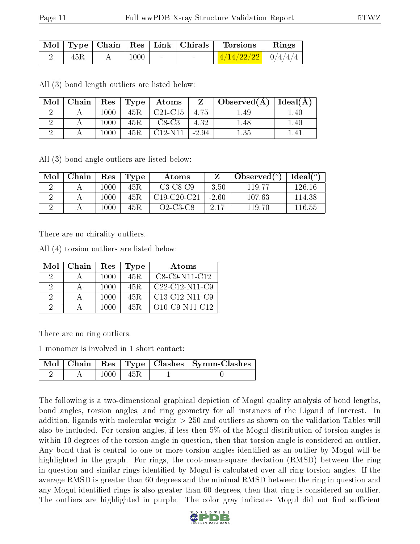|     |          | Mol   Type   Chain   Res   Link   Chirals | Torsions                 | $\parallel$ Rings |
|-----|----------|-------------------------------------------|--------------------------|-------------------|
| 45R | $1000\,$ |                                           | $1/4/14/22/22$   0/4/4/4 |                   |

All (3) bond length outliers are listed below:

| Mol | Chain |          | $\mid$ Res $\mid$ Type $\mid$ | $\boldsymbol{\mathrm{Atoms}}$   | Z     | Observed $(A)$   Ideal $(A)$ |      |
|-----|-------|----------|-------------------------------|---------------------------------|-------|------------------------------|------|
|     |       | 1000     | 45R                           | $C21-C15$                       | 4.75  | 1.49                         | .40  |
|     |       | $1000\,$ | $45\mathrm{R}$                | $C8-C3$                         | 4.32  | 1.48                         | .40  |
|     |       | $1000\,$ | 45R                           | C <sub>12</sub> N <sub>11</sub> | -2.94 | 1.35                         | -4 I |

All (3) bond angle outliers are listed below:

| Mol | Chain | Res      | Type | Atoms         |         | Observed $(°)$ | $Ideal({^o})$ |
|-----|-------|----------|------|---------------|---------|----------------|---------------|
|     |       | 1000     | 45R. | $C3-C8-C9$    | $-3.50$ | 119.77         | 126 16        |
|     |       | 1000     | 45R. | $C19-C20-C21$ | $-2.60$ | 107.63         | 114.38        |
|     |       | $1000\,$ | 45R. | Q2-C3-C8      | 2.17    | 119.70         | 116.55        |

There are no chirality outliers.

All (4) torsion outliers are listed below:

| Mol | Chain | Res  | Type | Atoms             |
|-----|-------|------|------|-------------------|
| 9   |       | 1000 | 45R. | C8-C9-N11-C12     |
| 2   |       | 1000 | 45R. | $C22-C12-N11-C9$  |
| 2   |       | 1000 | 45R. | $C13-C12-N11-C9$  |
| 9   |       | 1000 | 45R. | $O10$ -C9-N11-C12 |

There are no ring outliers.

1 monomer is involved in 1 short contact:

|  |      |      | Mol   Chain   Res   Type   Clashes   Symm-Clashes |
|--|------|------|---------------------------------------------------|
|  | 1000 | -45R |                                                   |

The following is a two-dimensional graphical depiction of Mogul quality analysis of bond lengths, bond angles, torsion angles, and ring geometry for all instances of the Ligand of Interest. In addition, ligands with molecular weight > 250 and outliers as shown on the validation Tables will also be included. For torsion angles, if less then 5% of the Mogul distribution of torsion angles is within 10 degrees of the torsion angle in question, then that torsion angle is considered an outlier. Any bond that is central to one or more torsion angles identified as an outlier by Mogul will be highlighted in the graph. For rings, the root-mean-square deviation (RMSD) between the ring in question and similar rings identified by Mogul is calculated over all ring torsion angles. If the average RMSD is greater than 60 degrees and the minimal RMSD between the ring in question and any Mogul-identified rings is also greater than 60 degrees, then that ring is considered an outlier. The outliers are highlighted in purple. The color gray indicates Mogul did not find sufficient

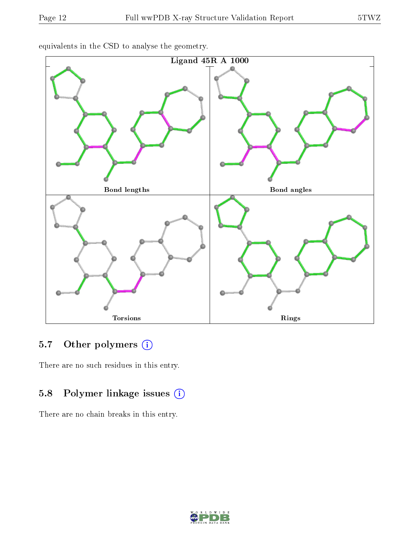

equivalents in the CSD to analyse the geometry.

## 5.7 [O](https://www.wwpdb.org/validation/2017/XrayValidationReportHelp#nonstandard_residues_and_ligands)ther polymers (i)

There are no such residues in this entry.

### 5.8 Polymer linkage issues (i)

There are no chain breaks in this entry.

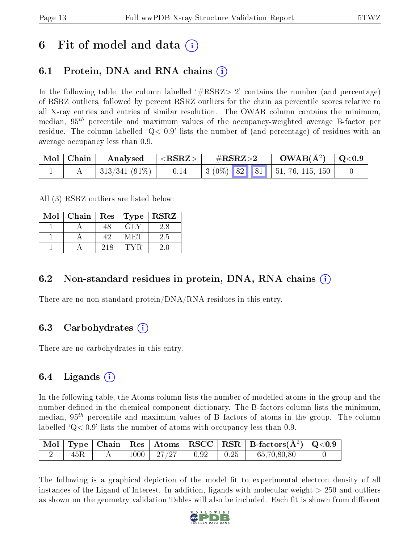## 6 Fit of model and data  $\left( \cdot \right)$

## 6.1 Protein, DNA and RNA chains (i)

In the following table, the column labelled  $#RSRZ> 2'$  contains the number (and percentage) of RSRZ outliers, followed by percent RSRZ outliers for the chain as percentile scores relative to all X-ray entries and entries of similar resolution. The OWAB column contains the minimum, median,  $95<sup>th</sup>$  percentile and maximum values of the occupancy-weighted average B-factor per residue. The column labelled  $Q < 0.9$  lists the number of (and percentage) of residues with an average occupancy less than 0.9.

| $\mid$ Mol $\mid$ Chain $\mid$ | Analysed                     | $\cdot$ $  <$ RSRZ $>$ $ $ | $\rm \#RSRZ{>}2$                                                         | $\rm{OWAB}(\AA^2)$ $\mid$ Q<0.9 |  |
|--------------------------------|------------------------------|----------------------------|--------------------------------------------------------------------------|---------------------------------|--|
|                                | $\mid 313/341$ (91\%) $\mid$ | $-0.14$                    | $\vert 3 \ (0\%) \ \vert 82 \ \vert 81 \ \vert 51, 76, 115, 150 \ \vert$ |                                 |  |

All (3) RSRZ outliers are listed below:

| Mol | Chain | Res | Type  | <b>RSRZ</b> |
|-----|-------|-----|-------|-------------|
|     |       | 48  | GLY   | 2.8         |
|     |       | 49  | M ETE | 2.5         |
|     |       | 218 |       | 24          |

### 6.2 Non-standard residues in protein, DNA, RNA chains  $(i)$

There are no non-standard protein/DNA/RNA residues in this entry.

### 6.3 Carbohydrates (i)

There are no carbohydrates in this entry.

### 6.4 Ligands  $(i)$

In the following table, the Atoms column lists the number of modelled atoms in the group and the number defined in the chemical component dictionary. The B-factors column lists the minimum, median,  $95<sup>th</sup>$  percentile and maximum values of B factors of atoms in the group. The column labelled  $Q< 0.9$  lists the number of atoms with occupancy less than 0.9.

|     |  |                                      |  | $\begin{array}{ c c c c c c }\hline \text{Mol} & \text{Type} & \text{Chain} & \text{Res} & \text{Atoms} & \text{RSCC} & \text{RSR} & \text{B-factors}(\AA^2) & \text{Q<0.9} \\\hline \end{array}$ |  |
|-----|--|--------------------------------------|--|---------------------------------------------------------------------------------------------------------------------------------------------------------------------------------------------------|--|
| 45R |  | $+1000$ $-27/27$ $-0.92$ $-0.25$ $-$ |  | 65,70,80,80                                                                                                                                                                                       |  |

The following is a graphical depiction of the model fit to experimental electron density of all instances of the Ligand of Interest. In addition, ligands with molecular weight > 250 and outliers as shown on the geometry validation Tables will also be included. Each fit is shown from different